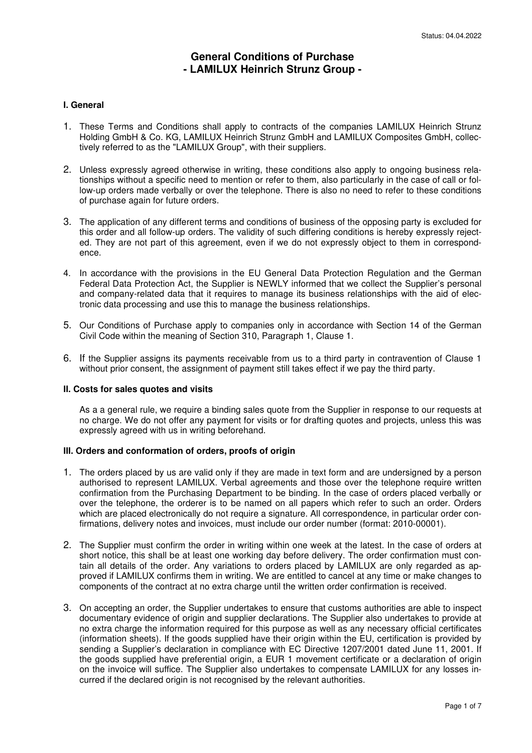# **General Conditions of Purchase - LAMILUX Heinrich Strunz Group -**

#### **I. General**

- 1. These Terms and Conditions shall apply to contracts of the companies LAMILUX Heinrich Strunz Holding GmbH & Co. KG, LAMILUX Heinrich Strunz GmbH and LAMILUX Composites GmbH, collectively referred to as the "LAMILUX Group", with their suppliers.
- 2. Unless expressly agreed otherwise in writing, these conditions also apply to ongoing business relationships without a specific need to mention or refer to them, also particularly in the case of call or follow-up orders made verbally or over the telephone. There is also no need to refer to these conditions of purchase again for future orders.
- 3. The application of any different terms and conditions of business of the opposing party is excluded for this order and all follow-up orders. The validity of such differing conditions is hereby expressly rejected. They are not part of this agreement, even if we do not expressly object to them in correspondence.
- 4. In accordance with the provisions in the EU General Data Protection Regulation and the German Federal Data Protection Act, the Supplier is NEWLY informed that we collect the Supplier's personal and company-related data that it requires to manage its business relationships with the aid of electronic data processing and use this to manage the business relationships.
- 5. Our Conditions of Purchase apply to companies only in accordance with Section 14 of the German Civil Code within the meaning of Section 310, Paragraph 1, Clause 1.
- 6. If the Supplier assigns its payments receivable from us to a third party in contravention of Clause 1 without prior consent, the assignment of payment still takes effect if we pay the third party.

#### **II. Costs for sales quotes and visits**

As a a general rule, we require a binding sales quote from the Supplier in response to our requests at no charge. We do not offer any payment for visits or for drafting quotes and projects, unless this was expressly agreed with us in writing beforehand.

#### **III. Orders and conformation of orders, proofs of origin**

- 1. The orders placed by us are valid only if they are made in text form and are undersigned by a person authorised to represent LAMILUX. Verbal agreements and those over the telephone require written confirmation from the Purchasing Department to be binding. In the case of orders placed verbally or over the telephone, the orderer is to be named on all papers which refer to such an order. Orders which are placed electronically do not require a signature. All correspondence, in particular order confirmations, delivery notes and invoices, must include our order number (format: 2010-00001).
- 2. The Supplier must confirm the order in writing within one week at the latest. In the case of orders at short notice, this shall be at least one working day before delivery. The order confirmation must contain all details of the order. Any variations to orders placed by LAMILUX are only regarded as approved if LAMILUX confirms them in writing. We are entitled to cancel at any time or make changes to components of the contract at no extra charge until the written order confirmation is received.
- 3. On accepting an order, the Supplier undertakes to ensure that customs authorities are able to inspect documentary evidence of origin and supplier declarations. The Supplier also undertakes to provide at no extra charge the information required for this purpose as well as any necessary official certificates (information sheets). If the goods supplied have their origin within the EU, certification is provided by sending a Supplier's declaration in compliance with EC Directive 1207/2001 dated June 11, 2001. If the goods supplied have preferential origin, a EUR 1 movement certificate or a declaration of origin on the invoice will suffice. The Supplier also undertakes to compensate LAMILUX for any losses incurred if the declared origin is not recognised by the relevant authorities.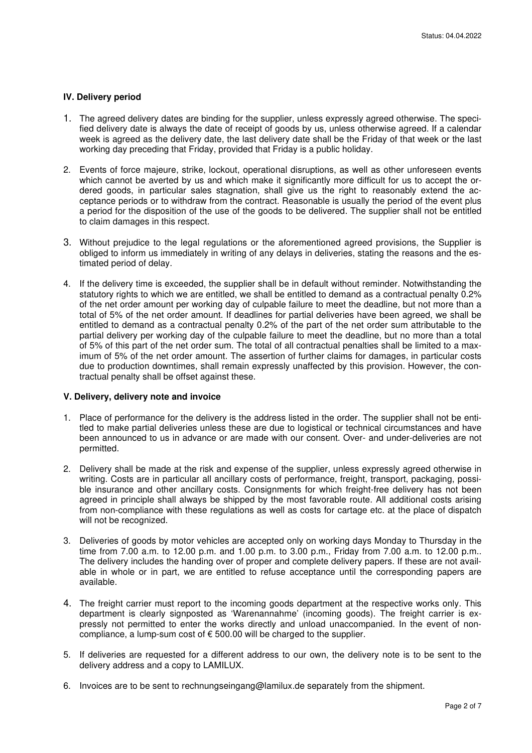# **IV. Delivery period**

- 1. The agreed delivery dates are binding for the supplier, unless expressly agreed otherwise. The specified delivery date is always the date of receipt of goods by us, unless otherwise agreed. If a calendar week is agreed as the delivery date, the last delivery date shall be the Friday of that week or the last working day preceding that Friday, provided that Friday is a public holiday.
- 2. Events of force majeure, strike, lockout, operational disruptions, as well as other unforeseen events which cannot be averted by us and which make it significantly more difficult for us to accept the ordered goods, in particular sales stagnation, shall give us the right to reasonably extend the acceptance periods or to withdraw from the contract. Reasonable is usually the period of the event plus a period for the disposition of the use of the goods to be delivered. The supplier shall not be entitled to claim damages in this respect.
- 3. Without prejudice to the legal regulations or the aforementioned agreed provisions, the Supplier is obliged to inform us immediately in writing of any delays in deliveries, stating the reasons and the estimated period of delay.
- 4. If the delivery time is exceeded, the supplier shall be in default without reminder. Notwithstanding the statutory rights to which we are entitled, we shall be entitled to demand as a contractual penalty 0.2% of the net order amount per working day of culpable failure to meet the deadline, but not more than a total of 5% of the net order amount. If deadlines for partial deliveries have been agreed, we shall be entitled to demand as a contractual penalty 0.2% of the part of the net order sum attributable to the partial delivery per working day of the culpable failure to meet the deadline, but no more than a total of 5% of this part of the net order sum. The total of all contractual penalties shall be limited to a maximum of 5% of the net order amount. The assertion of further claims for damages, in particular costs due to production downtimes, shall remain expressly unaffected by this provision. However, the contractual penalty shall be offset against these.

#### **V. Delivery, delivery note and invoice**

- 1. Place of performance for the delivery is the address listed in the order. The supplier shall not be entitled to make partial deliveries unless these are due to logistical or technical circumstances and have been announced to us in advance or are made with our consent. Over- and under-deliveries are not permitted.
- 2. Delivery shall be made at the risk and expense of the supplier, unless expressly agreed otherwise in writing. Costs are in particular all ancillary costs of performance, freight, transport, packaging, possible insurance and other ancillary costs. Consignments for which freight-free delivery has not been agreed in principle shall always be shipped by the most favorable route. All additional costs arising from non-compliance with these regulations as well as costs for cartage etc. at the place of dispatch will not be recognized.
- 3. Deliveries of goods by motor vehicles are accepted only on working days Monday to Thursday in the time from 7.00 a.m. to 12.00 p.m. and 1.00 p.m. to 3.00 p.m., Friday from 7.00 a.m. to 12.00 p.m.. The delivery includes the handing over of proper and complete delivery papers. If these are not available in whole or in part, we are entitled to refuse acceptance until the corresponding papers are available.
- 4. The freight carrier must report to the incoming goods department at the respective works only. This department is clearly signposted as 'Warenannahme' (incoming goods). The freight carrier is expressly not permitted to enter the works directly and unload unaccompanied. In the event of noncompliance, a lump-sum cost of € 500.00 will be charged to the supplier.
- 5. If deliveries are requested for a different address to our own, the delivery note is to be sent to the delivery address and a copy to LAMILUX.
- 6. Invoices are to be sent to rechnungseingang@lamilux.de separately from the shipment.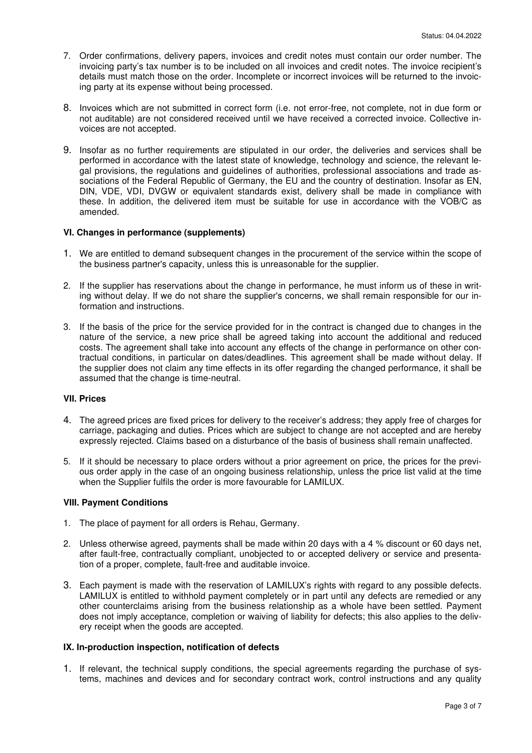- 7. Order confirmations, delivery papers, invoices and credit notes must contain our order number. The invoicing party's tax number is to be included on all invoices and credit notes. The invoice recipient's details must match those on the order. Incomplete or incorrect invoices will be returned to the invoicing party at its expense without being processed.
- 8. Invoices which are not submitted in correct form (i.e. not error-free, not complete, not in due form or not auditable) are not considered received until we have received a corrected invoice. Collective invoices are not accepted.
- 9. Insofar as no further requirements are stipulated in our order, the deliveries and services shall be performed in accordance with the latest state of knowledge, technology and science, the relevant legal provisions, the regulations and guidelines of authorities, professional associations and trade associations of the Federal Republic of Germany, the EU and the country of destination. Insofar as EN, DIN, VDE, VDI, DVGW or equivalent standards exist, delivery shall be made in compliance with these. In addition, the delivered item must be suitable for use in accordance with the VOB/C as amended.

# **VI. Changes in performance (supplements)**

- 1. We are entitled to demand subsequent changes in the procurement of the service within the scope of the business partner's capacity, unless this is unreasonable for the supplier.
- 2. If the supplier has reservations about the change in performance, he must inform us of these in writing without delay. If we do not share the supplier's concerns, we shall remain responsible for our information and instructions.
- 3. If the basis of the price for the service provided for in the contract is changed due to changes in the nature of the service, a new price shall be agreed taking into account the additional and reduced costs. The agreement shall take into account any effects of the change in performance on other contractual conditions, in particular on dates/deadlines. This agreement shall be made without delay. If the supplier does not claim any time effects in its offer regarding the changed performance, it shall be assumed that the change is time-neutral.

# **VII. Prices**

- 4. The agreed prices are fixed prices for delivery to the receiver's address; they apply free of charges for carriage, packaging and duties. Prices which are subject to change are not accepted and are hereby expressly rejected. Claims based on a disturbance of the basis of business shall remain unaffected.
- 5. If it should be necessary to place orders without a prior agreement on price, the prices for the previous order apply in the case of an ongoing business relationship, unless the price list valid at the time when the Supplier fulfils the order is more favourable for LAMILUX.

#### **VIII. Payment Conditions**

- 1. The place of payment for all orders is Rehau, Germany.
- 2. Unless otherwise agreed, payments shall be made within 20 days with a 4 % discount or 60 days net, after fault-free, contractually compliant, unobjected to or accepted delivery or service and presentation of a proper, complete, fault-free and auditable invoice.
- 3. Each payment is made with the reservation of LAMILUX's rights with regard to any possible defects. LAMILUX is entitled to withhold payment completely or in part until any defects are remedied or any other counterclaims arising from the business relationship as a whole have been settled. Payment does not imply acceptance, completion or waiving of liability for defects; this also applies to the delivery receipt when the goods are accepted.

#### **IX. In-production inspection, notification of defects**

1. If relevant, the technical supply conditions, the special agreements regarding the purchase of systems, machines and devices and for secondary contract work, control instructions and any quality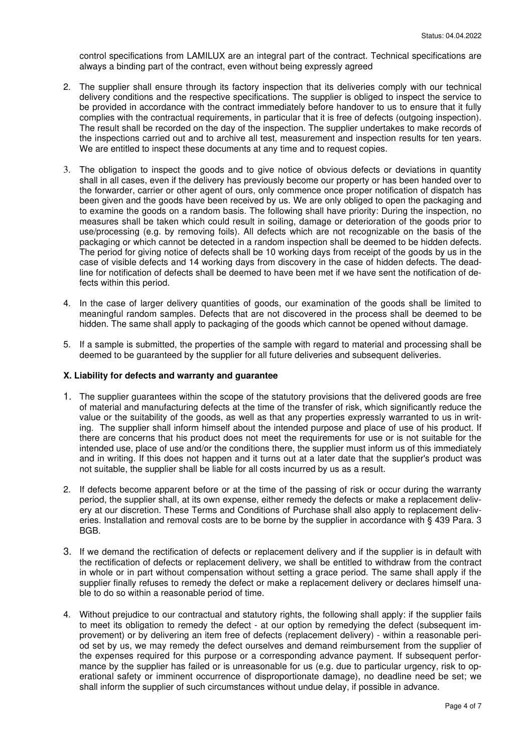control specifications from LAMILUX are an integral part of the contract. Technical specifications are always a binding part of the contract, even without being expressly agreed

- 2. The supplier shall ensure through its factory inspection that its deliveries comply with our technical delivery conditions and the respective specifications. The supplier is obliged to inspect the service to be provided in accordance with the contract immediately before handover to us to ensure that it fully complies with the contractual requirements, in particular that it is free of defects (outgoing inspection). The result shall be recorded on the day of the inspection. The supplier undertakes to make records of the inspections carried out and to archive all test, measurement and inspection results for ten years. We are entitled to inspect these documents at any time and to request copies.
- 3. The obligation to inspect the goods and to give notice of obvious defects or deviations in quantity shall in all cases, even if the delivery has previously become our property or has been handed over to the forwarder, carrier or other agent of ours, only commence once proper notification of dispatch has been given and the goods have been received by us. We are only obliged to open the packaging and to examine the goods on a random basis. The following shall have priority: During the inspection, no measures shall be taken which could result in soiling, damage or deterioration of the goods prior to use/processing (e.g. by removing foils). All defects which are not recognizable on the basis of the packaging or which cannot be detected in a random inspection shall be deemed to be hidden defects. The period for giving notice of defects shall be 10 working days from receipt of the goods by us in the case of visible defects and 14 working days from discovery in the case of hidden defects. The deadline for notification of defects shall be deemed to have been met if we have sent the notification of defects within this period.
- 4. In the case of larger delivery quantities of goods, our examination of the goods shall be limited to meaningful random samples. Defects that are not discovered in the process shall be deemed to be hidden. The same shall apply to packaging of the goods which cannot be opened without damage.
- 5. If a sample is submitted, the properties of the sample with regard to material and processing shall be deemed to be guaranteed by the supplier for all future deliveries and subsequent deliveries.

#### **X. Liability for defects and warranty and guarantee**

- 1. The supplier guarantees within the scope of the statutory provisions that the delivered goods are free of material and manufacturing defects at the time of the transfer of risk, which significantly reduce the value or the suitability of the goods, as well as that any properties expressly warranted to us in writing. The supplier shall inform himself about the intended purpose and place of use of his product. If there are concerns that his product does not meet the requirements for use or is not suitable for the intended use, place of use and/or the conditions there, the supplier must inform us of this immediately and in writing. If this does not happen and it turns out at a later date that the supplier's product was not suitable, the supplier shall be liable for all costs incurred by us as a result.
- 2. If defects become apparent before or at the time of the passing of risk or occur during the warranty period, the supplier shall, at its own expense, either remedy the defects or make a replacement delivery at our discretion. These Terms and Conditions of Purchase shall also apply to replacement deliveries. Installation and removal costs are to be borne by the supplier in accordance with § 439 Para. 3 BGB.
- 3. If we demand the rectification of defects or replacement delivery and if the supplier is in default with the rectification of defects or replacement delivery, we shall be entitled to withdraw from the contract in whole or in part without compensation without setting a grace period. The same shall apply if the supplier finally refuses to remedy the defect or make a replacement delivery or declares himself unable to do so within a reasonable period of time.
- 4. Without prejudice to our contractual and statutory rights, the following shall apply: if the supplier fails to meet its obligation to remedy the defect - at our option by remedying the defect (subsequent improvement) or by delivering an item free of defects (replacement delivery) - within a reasonable period set by us, we may remedy the defect ourselves and demand reimbursement from the supplier of the expenses required for this purpose or a corresponding advance payment. If subsequent performance by the supplier has failed or is unreasonable for us (e.g. due to particular urgency, risk to operational safety or imminent occurrence of disproportionate damage), no deadline need be set; we shall inform the supplier of such circumstances without undue delay, if possible in advance.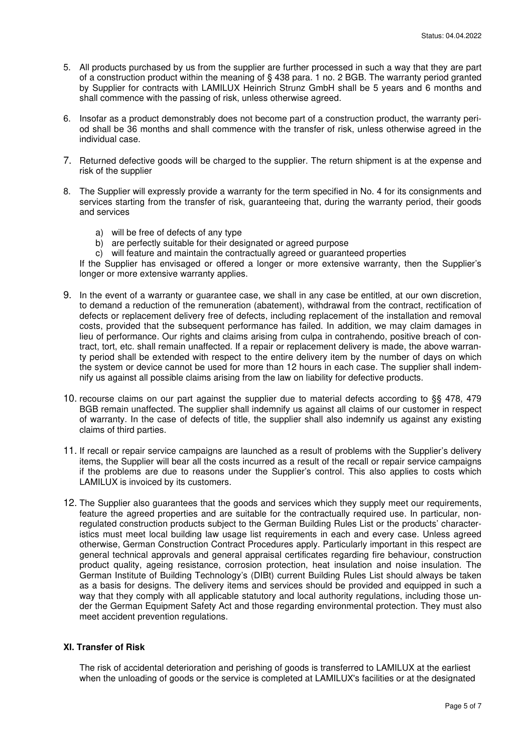- 5. All products purchased by us from the supplier are further processed in such a way that they are part of a construction product within the meaning of § 438 para. 1 no. 2 BGB. The warranty period granted by Supplier for contracts with LAMILUX Heinrich Strunz GmbH shall be 5 years and 6 months and shall commence with the passing of risk, unless otherwise agreed.
- 6. Insofar as a product demonstrably does not become part of a construction product, the warranty period shall be 36 months and shall commence with the transfer of risk, unless otherwise agreed in the individual case.
- 7. Returned defective goods will be charged to the supplier. The return shipment is at the expense and risk of the supplier
- 8. The Supplier will expressly provide a warranty for the term specified in No. 4 for its consignments and services starting from the transfer of risk, guaranteeing that, during the warranty period, their goods and services
	- a) will be free of defects of any type
	- b) are perfectly suitable for their designated or agreed purpose
	- c) will feature and maintain the contractually agreed or guaranteed properties

If the Supplier has envisaged or offered a longer or more extensive warranty, then the Supplier's longer or more extensive warranty applies.

- 9. In the event of a warranty or guarantee case, we shall in any case be entitled, at our own discretion, to demand a reduction of the remuneration (abatement), withdrawal from the contract, rectification of defects or replacement delivery free of defects, including replacement of the installation and removal costs, provided that the subsequent performance has failed. In addition, we may claim damages in lieu of performance. Our rights and claims arising from culpa in contrahendo, positive breach of contract, tort, etc. shall remain unaffected. If a repair or replacement delivery is made, the above warranty period shall be extended with respect to the entire delivery item by the number of days on which the system or device cannot be used for more than 12 hours in each case. The supplier shall indemnify us against all possible claims arising from the law on liability for defective products.
- 10. recourse claims on our part against the supplier due to material defects according to §§ 478, 479 BGB remain unaffected. The supplier shall indemnify us against all claims of our customer in respect of warranty. In the case of defects of title, the supplier shall also indemnify us against any existing claims of third parties.
- 11. If recall or repair service campaigns are launched as a result of problems with the Supplier's delivery items, the Supplier will bear all the costs incurred as a result of the recall or repair service campaigns if the problems are due to reasons under the Supplier's control. This also applies to costs which LAMILUX is invoiced by its customers.
- 12. The Supplier also guarantees that the goods and services which they supply meet our requirements, feature the agreed properties and are suitable for the contractually required use. In particular, nonregulated construction products subject to the German Building Rules List or the products' characteristics must meet local building law usage list requirements in each and every case. Unless agreed otherwise, German Construction Contract Procedures apply. Particularly important in this respect are general technical approvals and general appraisal certificates regarding fire behaviour, construction product quality, ageing resistance, corrosion protection, heat insulation and noise insulation. The German Institute of Building Technology's (DIBt) current Building Rules List should always be taken as a basis for designs. The delivery items and services should be provided and equipped in such a way that they comply with all applicable statutory and local authority regulations, including those under the German Equipment Safety Act and those regarding environmental protection. They must also meet accident prevention regulations.

# **XI. Transfer of Risk**

The risk of accidental deterioration and perishing of goods is transferred to LAMILUX at the earliest when the unloading of goods or the service is completed at LAMILUX's facilities or at the designated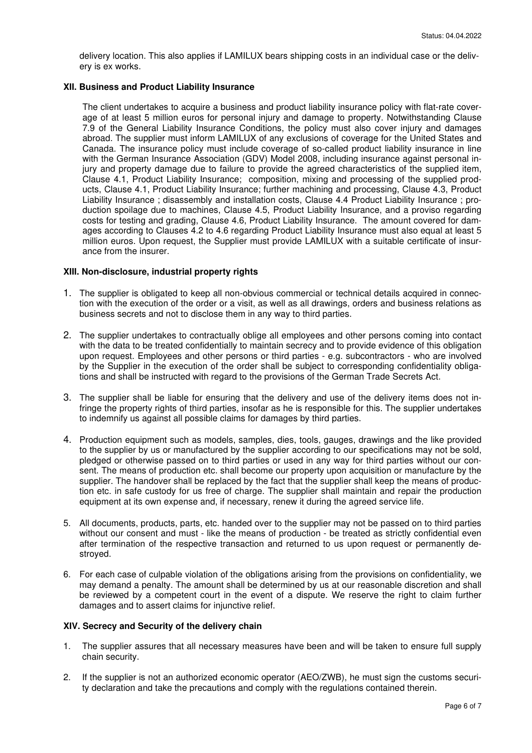delivery location. This also applies if LAMILUX bears shipping costs in an individual case or the delivery is ex works.

## **XII. Business and Product Liability Insurance**

The client undertakes to acquire a business and product liability insurance policy with flat-rate coverage of at least 5 million euros for personal injury and damage to property. Notwithstanding Clause 7.9 of the General Liability Insurance Conditions, the policy must also cover injury and damages abroad. The supplier must inform LAMILUX of any exclusions of coverage for the United States and Canada. The insurance policy must include coverage of so-called product liability insurance in line with the German Insurance Association (GDV) Model 2008, including insurance against personal injury and property damage due to failure to provide the agreed characteristics of the supplied item, Clause 4.1, Product Liability Insurance; composition, mixing and processing of the supplied products, Clause 4.1, Product Liability Insurance; further machining and processing, Clause 4.3, Product Liability Insurance ; disassembly and installation costs, Clause 4.4 Product Liability Insurance ; production spoilage due to machines, Clause 4.5, Product Liability Insurance, and a proviso regarding costs for testing and grading, Clause 4.6, Product Liability Insurance. The amount covered for damages according to Clauses 4.2 to 4.6 regarding Product Liability Insurance must also equal at least 5 million euros. Upon request, the Supplier must provide LAMILUX with a suitable certificate of insurance from the insurer.

## **XIII. Non-disclosure, industrial property rights**

- 1. The supplier is obligated to keep all non-obvious commercial or technical details acquired in connection with the execution of the order or a visit, as well as all drawings, orders and business relations as business secrets and not to disclose them in any way to third parties.
- 2. The supplier undertakes to contractually oblige all employees and other persons coming into contact with the data to be treated confidentially to maintain secrecy and to provide evidence of this obligation upon request. Employees and other persons or third parties - e.g. subcontractors - who are involved by the Supplier in the execution of the order shall be subject to corresponding confidentiality obligations and shall be instructed with regard to the provisions of the German Trade Secrets Act.
- 3. The supplier shall be liable for ensuring that the delivery and use of the delivery items does not infringe the property rights of third parties, insofar as he is responsible for this. The supplier undertakes to indemnify us against all possible claims for damages by third parties.
- 4. Production equipment such as models, samples, dies, tools, gauges, drawings and the like provided to the supplier by us or manufactured by the supplier according to our specifications may not be sold, pledged or otherwise passed on to third parties or used in any way for third parties without our consent. The means of production etc. shall become our property upon acquisition or manufacture by the supplier. The handover shall be replaced by the fact that the supplier shall keep the means of production etc. in safe custody for us free of charge. The supplier shall maintain and repair the production equipment at its own expense and, if necessary, renew it during the agreed service life.
- 5. All documents, products, parts, etc. handed over to the supplier may not be passed on to third parties without our consent and must - like the means of production - be treated as strictly confidential even after termination of the respective transaction and returned to us upon request or permanently destroyed.
- 6. For each case of culpable violation of the obligations arising from the provisions on confidentiality, we may demand a penalty. The amount shall be determined by us at our reasonable discretion and shall be reviewed by a competent court in the event of a dispute. We reserve the right to claim further damages and to assert claims for injunctive relief.

#### **XIV. Secrecy and Security of the delivery chain**

- 1. The supplier assures that all necessary measures have been and will be taken to ensure full supply chain security.
- 2. If the supplier is not an authorized economic operator (AEO/ZWB), he must sign the customs security declaration and take the precautions and comply with the regulations contained therein.